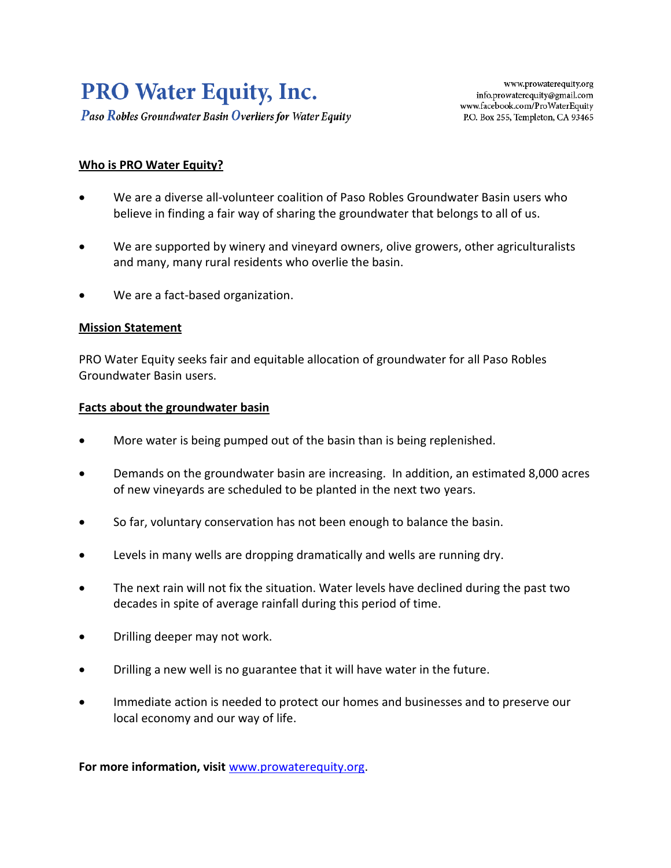# **PRO Water Equity, Inc.**

**Paso Robles Groundwater Basin Overliers for Water Equity** 

## **Who is PRO Water Equity?**

- We are a diverse all-volunteer coalition of Paso Robles Groundwater Basin users who believe in finding a fair way of sharing the groundwater that belongs to all of us.
- We are supported by winery and vineyard owners, olive growers, other agriculturalists and many, many rural residents who overlie the basin.
- We are a fact-based organization.

## **Mission Statement**

PRO Water Equity seeks fair and equitable allocation of groundwater for all Paso Robles Groundwater Basin users.

#### **Facts about the groundwater basin**

- More water is being pumped out of the basin than is being replenished.
- Demands on the groundwater basin are increasing. In addition, an estimated 8,000 acres of new vineyards are scheduled to be planted in the next two years.
- So far, voluntary conservation has not been enough to balance the basin.
- Levels in many wells are dropping dramatically and wells are running dry.
- The next rain will not fix the situation. Water levels have declined during the past two decades in spite of average rainfall during this period of time.
- Drilling deeper may not work.
- Drilling a new well is no guarantee that it will have water in the future.
- Immediate action is needed to protect our homes and businesses and to preserve our local economy and our way of life.

**For more information, visit** [www.prowaterequity.org.](http://www.prowaterequity.org/)